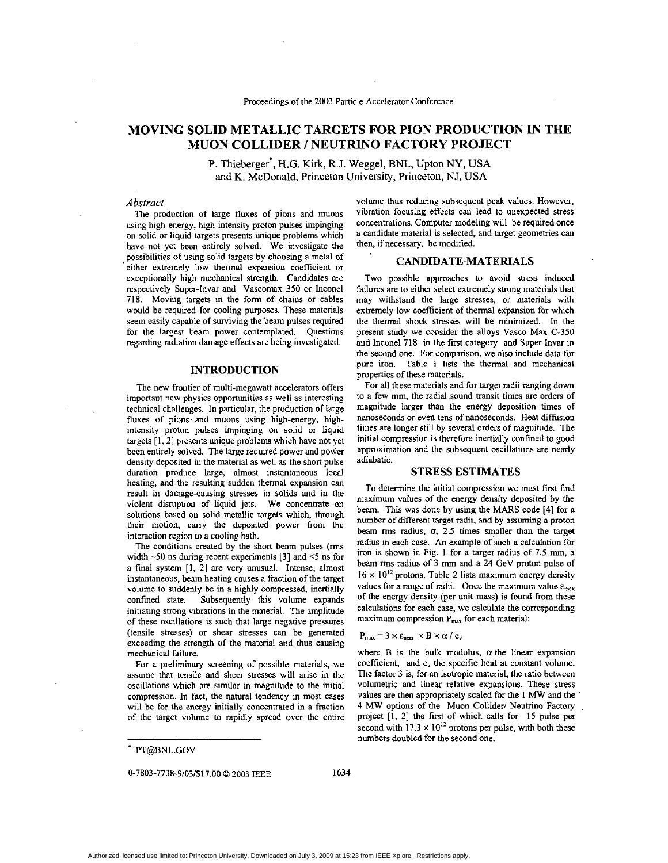# **MOVING SOLID METALLIC TARGETS FOR PION PRODUCTION IN THE MUON COLLIDER** *I* **NEUTRINO FACTORY PROJECT**

**P. Thieberger', H.G. Kirk,** R.J. **Weggel, BNL, Upton** NY, **USA and K. McDonald, Princeton University, Princeton,** NJ, **USA** 

#### *Abstract*

The production of large fluxes of pions and muons using high-energy, high-intensity proton pulses impinging on solid **or** liquid targets presents unique problems which have not yet been entirely solved. We investigate the possibilities of using solid targets by choosing a meral of either extremely low thermal expansion coefficient or exceptionally high mechanical strength. Candidates are respectively Super-Invar and Vascomax **350** or Inconel **718.** Moving targets in the form of chains or cables would be required for cooling purposes. These materials seem easily capable of surviving the beam pulses required for the largest beam power contemplated. Questions regarding radiation damage effects are being investigated.

## **LNTRODUCTION**

The new frontier of multi-megawatt accelerators offers important new physics opportunities **as** well **as** interesting technical challenges. In particular, the production of large fluxes of pions and muons using high-energy, highintensity proton pulses impinging on solid or liquid targets **[I, 21** presents unique problems which have not yet been entirely solved. The large required power and power density deposited in the material as well **as** the short pulse duration produce large, almost instantaneous local heating, and the resulting sudden thermal expansion can result in damage-causing stresses in solids and in the violent disruption *of* liquid jets. We concentrate on solutions based on solid metallic targets which, through their motion, carry the deposited power from the interaction region to a cooling bath.

The conditions created by the short beam pulses (rms width -50 ns during recent experiments **[3]** and *<5* ns for a final system **[I, 21** are very unusual. Intense, almost instantaneous, beam heating causes a fraction of the target volume to suddenly be in a highly compressed, inertially confined state. Subsequently this volume expands initiating strong vibrations in the material. The amplitude of these oscillations **is** such that large negative pressures (tensile stresses) or shear stresses can be generated exceeding the strength of the material and thus causing mechanical failure.

For a preliminary screening of possible materials, we assume that tensile and sheer stresses will arise in the oscillations which are similar in magnitude to the initial compression. In fact, the natural tendency in most cases will be for the energy initially concentrated in a fraction of the target volume to rapidly spread over the entire

**0-7803-7738-9/03/\$17.00** *0* **2003** IEEE **1634** 

volume thus reducing subsequent peak values. However, vibration focusing effects can lead to unexpected stress concentrations. Computer modeling will be required once a candidate material is selected, and target geometries can then, if necessary, be modified.

#### **CANDIDATE MATERIALS**

Two possible approaches to avoid stress induced failures are to either select extremely strong materials that may withstand the large stresses, or materials with extremely low coefficient of thermal expansion for which the thermal shock stresses will be minimized. In the present study we consider the alloys Vasco **Max C-350**  and Inconel **718** in the first category and Super Invar in the second one. For comparison, we also include data for pure iron. [Table](#page-1-0) 1 lists the thermal and mechanical properties of these materials.

For all these materials and for target radii ranging down to a few mm, the radial sound transit times are orders of magnitude larger than the energy deposition times of nanoseconds or even tens of nanoseconds. Heat diffusion times are longer still by several orders of magnitude. The initial compression is therefore inertially confined to good approximation and the subsequent oscillations are nearly adiabatic.

#### **STRESS ESTIMATES**

To determine the initial compression we must first find maximum values of the energy density deposited by the beam. This was done by using the MARS code [4] for a number of different target radii, and by assuming a proton beam rms radius,  $\sigma$ , 2.5 times smaller than the target radius in each case. *An* example of such a calculation for iron is shown in [Fig.](#page-1-0) **1** for a target radius of 7.5 nun, a beam rms radius of **3** mm and a **24** GeV proton pulse of  $16 \times 10^{12}$  protons[. Table](#page-2-0) 2 lists maximum energy density values for a range of radii. Once the maximum value  $\varepsilon_{\text{max}}$ of the energy density (per unit mass) is found from these calculations for each case, we calculate the corresponding maximum compression  $P_{\text{max}}$  for each material:

$$
P_{\text{max}} = 3 \times \varepsilon_{\text{max}} \times B \times \alpha / c_v
$$

where B is the bulk modulus,  $\alpha$  the linear expansion coefficient, and c<sub>y</sub> the specific heat at constant volume. The factor **3 is,** for an isotropic material, the ratio between volumetric and linear relative expansions. These stress values are then appropriately scaled for the 1 **MW** and the 4 MW options of the Muon Collider/ Neutrino Factory project [I, **21** the first of which calls for **15** pulse per second with  $17.3 \times 10^{12}$  protons per pulse, with both these numbers doubled for the second one.

Authorized licensed use limited to: Princeton University. Downloaded on July 3, 2009 at 15:23 from IEEE Xplore. Restrictions apply.

[PT@BNL.GOV](mailto:PT@BNL.GOV)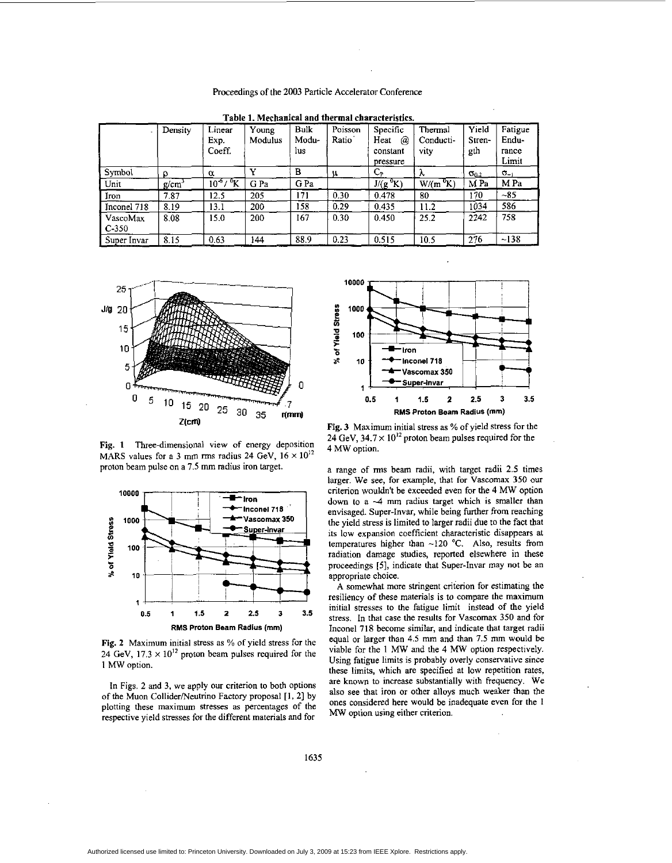Proceedings of the **2003** Particle Accelerator Conference

<span id="page-1-0"></span>

| t water in the chairman who the high chairman and the chairm |                   |                    |                  |               |                               |                       |                      |                 |                  |  |  |  |
|--------------------------------------------------------------|-------------------|--------------------|------------------|---------------|-------------------------------|-----------------------|----------------------|-----------------|------------------|--|--|--|
|                                                              | Density           | Linear<br>Exp.     | Young<br>Modulus | Bulk<br>Modu- | Poisson<br>Ratio <sup>1</sup> | Specific<br>@<br>Heat | Thermal<br>Conducti- | Yield<br>Stren- | Fatigue<br>Endu- |  |  |  |
|                                                              |                   | Coeff.             |                  | lus           |                               | constant<br>pressure  | vity                 | gth             | rance<br>Limit   |  |  |  |
| Symbol                                                       | Ð                 | α                  | v                | B             | μ                             | $C_{P}$               |                      | $\sigma_{0.2}$  | $\sigma_{-i}$    |  |  |  |
| Unit                                                         | g/cm <sup>3</sup> | $10^{-6}/{}^{0}$ K | G Pa             | G Pa          |                               | $J/(g^0K)$            | $W/(m^0K)$           | M Pa            | M Pa             |  |  |  |
| Iron                                                         | 7.87              | 12.5               | 205              | 171           | 0.30                          | 0.478                 | 80                   | 170             | $~1$ -85         |  |  |  |
| Inconel 718                                                  | 8.19              | 13.1               | 200              | 158           | 0.29                          | 0.435                 | 11.2                 | 1034            | 586              |  |  |  |
| VascoMax<br>$C-350$                                          | 8.08              | 15.0               | 200              | 167           | 0.30                          | 0.450                 | 25.2                 | 2242            | 758              |  |  |  |
| Super Invar                                                  | 8.15              | 0.63               | 144              | 88.9          | 0.23                          | 0.515                 | 10.5                 | 276             | $-138$           |  |  |  |

Table **1. Mechanical** and **thermal ebaracteristics.** 



**Fig. 1** Three-dimensional view of energy deposition MARS values for a 3 mm rms radius 24 GeV,  $16 \times 10^{12}$ proton beam pulse on a **7.5** mm radius iron target.



**Fig. 2** Maximum initial stress as % of yield stress for the 24 GeV,  $17.3 \times 10^{12}$  proton beam pulses required for the 1 *MW* option.

In Figs. **2** and **3,** we apply our criterion to both options of the Muon Collider/Neutrino Factory proposal **[I, 21** by plotting these maximum stresses as percentages of the respective yield stresses for the different materials and for



**Fig.** 3 Maximum initial *stress* as % of yield stress for the 24  $GeV$ ,  $34.7 \times 10^{12}$  proton beam pulses required for the **4** MW option.

a range of **rms** beam radii, with target radii **2.5** times larger. We see, for example, that for Vascomax **350** our criterion wouldn't be exceeded even for the **4** MW option down to a -4 mm radius target which is smaller than envisaged. Super-Invar, while being further from reaching the yield stress is limited to larger radii due to the fact that its low expansion coefficient characteristic disappears at temperatures higher than ~120 °C. Also, results from radiation damage studies, reported elsewhere in these proceedings **[5],** indicate that Super-Invar may not be an appropriate choice.

A somewhat more stringent criterion for estimating the resiliency of these materials is to compare the maximum initial stresses to the fatigue limit instead of the yield stress. In that case the results for Vascomax **350** and for Inconel 718 become similar, and indicate that target radii equal or larger than **4.5** mm and than **1.5** mm would be viable for the 1 *MW* and the 4 MW option respectively. Using fatigue limits is probably overly conservative since these limits, which are specified at low repetition rates, are known to increase substantially with frequency. We also see that iron or other alloys much weaker than the ones considered here would be inadequate even for the **1**  MW option using either criterion.